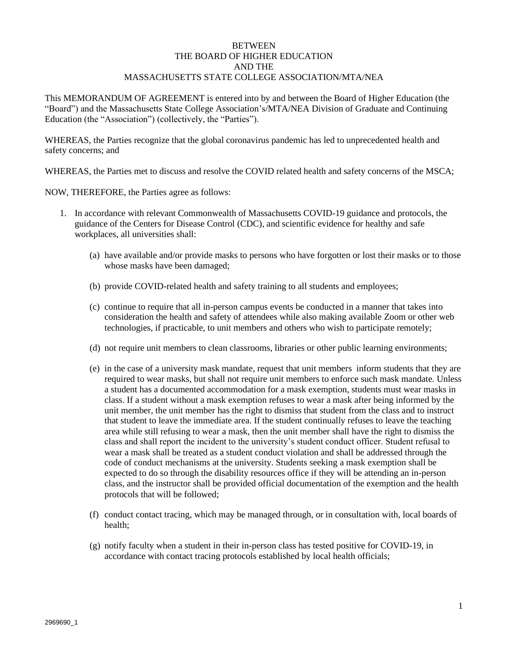## **BETWEEN** THE BOARD OF HIGHER EDUCATION AND THE MASSACHUSETTS STATE COLLEGE ASSOCIATION/MTA/NEA

This MEMORANDUM OF AGREEMENT is entered into by and between the Board of Higher Education (the "Board") and the Massachusetts State College Association's/MTA/NEA Division of Graduate and Continuing Education (the "Association") (collectively, the "Parties").

WHEREAS, the Parties recognize that the global coronavirus pandemic has led to unprecedented health and safety concerns; and

WHEREAS, the Parties met to discuss and resolve the COVID related health and safety concerns of the MSCA;

NOW, THEREFORE, the Parties agree as follows:

- 1. In accordance with relevant Commonwealth of Massachusetts COVID-19 guidance and protocols, the guidance of the Centers for Disease Control (CDC), and scientific evidence for healthy and safe workplaces, all universities shall:
	- (a) have available and/or provide masks to persons who have forgotten or lost their masks or to those whose masks have been damaged;
	- (b) provide COVID-related health and safety training to all students and employees;
	- (c) continue to require that all in-person campus events be conducted in a manner that takes into consideration the health and safety of attendees while also making available Zoom or other web technologies, if practicable, to unit members and others who wish to participate remotely;
	- (d) not require unit members to clean classrooms, libraries or other public learning environments;
	- (e) in the case of a university mask mandate, request that unit members inform students that they are required to wear masks, but shall not require unit members to enforce such mask mandate. Unless a student has a documented accommodation for a mask exemption, students must wear masks in class. If a student without a mask exemption refuses to wear a mask after being informed by the unit member, the unit member has the right to dismiss that student from the class and to instruct that student to leave the immediate area. If the student continually refuses to leave the teaching area while still refusing to wear a mask, then the unit member shall have the right to dismiss the class and shall report the incident to the university's student conduct officer. Student refusal to wear a mask shall be treated as a student conduct violation and shall be addressed through the code of conduct mechanisms at the university. Students seeking a mask exemption shall be expected to do so through the disability resources office if they will be attending an in-person class, and the instructor shall be provided official documentation of the exemption and the health protocols that will be followed;
	- (f) conduct contact tracing, which may be managed through, or in consultation with, local boards of health;
	- (g) notify faculty when a student in their in-person class has tested positive for COVID-19, in accordance with contact tracing protocols established by local health officials;